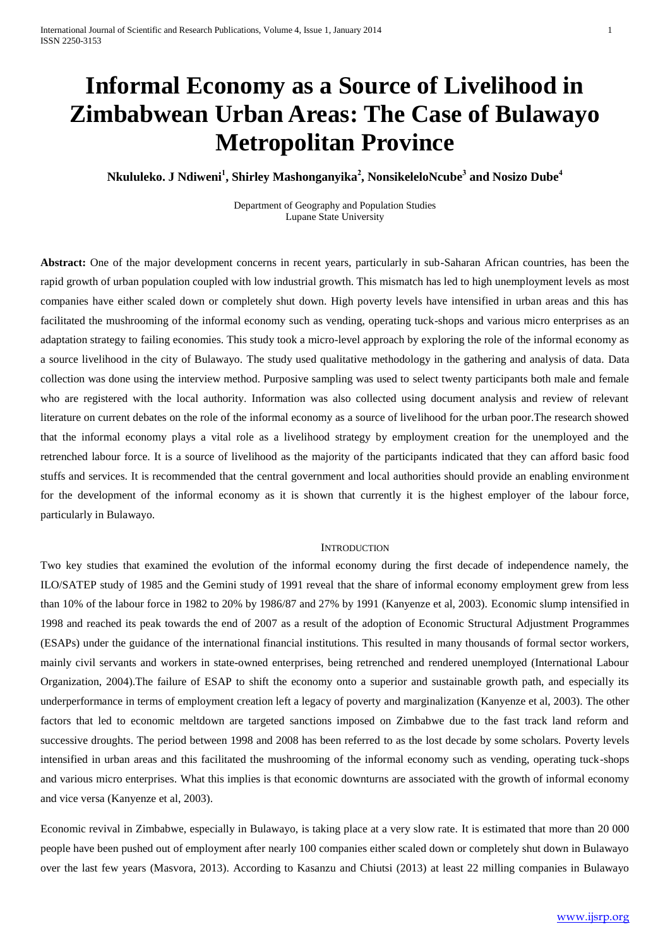# **Informal Economy as a Source of Livelihood in Zimbabwean Urban Areas: The Case of Bulawayo Metropolitan Province**

**Nkululeko. J Ndiweni 1 , Shirley Mashonganyika<sup>2</sup> , NonsikeleloNcube<sup>3</sup> and Nosizo Dube<sup>4</sup>**

Department of Geography and Population Studies Lupane State University

**Abstract:** One of the major development concerns in recent years, particularly in sub-Saharan African countries, has been the rapid growth of urban population coupled with low industrial growth. This mismatch has led to high unemployment levels as most companies have either scaled down or completely shut down. High poverty levels have intensified in urban areas and this has facilitated the mushrooming of the informal economy such as vending, operating tuck-shops and various micro enterprises as an adaptation strategy to failing economies. This study took a micro-level approach by exploring the role of the informal economy as a source livelihood in the city of Bulawayo. The study used qualitative methodology in the gathering and analysis of data. Data collection was done using the interview method. Purposive sampling was used to select twenty participants both male and female who are registered with the local authority. Information was also collected using document analysis and review of relevant literature on current debates on the role of the informal economy as a source of livelihood for the urban poor.The research showed that the informal economy plays a vital role as a livelihood strategy by employment creation for the unemployed and the retrenched labour force. It is a source of livelihood as the majority of the participants indicated that they can afford basic food stuffs and services. It is recommended that the central government and local authorities should provide an enabling environment for the development of the informal economy as it is shown that currently it is the highest employer of the labour force, particularly in Bulawayo.

## **INTRODUCTION**

Two key studies that examined the evolution of the informal economy during the first decade of independence namely, the ILO/SATEP study of 1985 and the Gemini study of 1991 reveal that the share of informal economy employment grew from less than 10% of the labour force in 1982 to 20% by 1986/87 and 27% by 1991 (Kanyenze et al, 2003). Economic slump intensified in 1998 and reached its peak towards the end of 2007 as a result of the adoption of Economic Structural Adjustment Programmes (ESAPs) under the guidance of the international financial institutions. This resulted in many thousands of formal sector workers, mainly civil servants and workers in state-owned enterprises, being retrenched and rendered unemployed (International Labour Organization, 2004).The failure of ESAP to shift the economy onto a superior and sustainable growth path, and especially its underperformance in terms of employment creation left a legacy of poverty and marginalization (Kanyenze et al, 2003). The other factors that led to economic meltdown are targeted sanctions imposed on Zimbabwe due to the fast track land reform and successive droughts. The period between 1998 and 2008 has been referred to as the lost decade by some scholars. Poverty levels intensified in urban areas and this facilitated the mushrooming of the informal economy such as vending, operating tuck-shops and various micro enterprises. What this implies is that economic downturns are associated with the growth of informal economy and vice versa (Kanyenze et al, 2003).

Economic revival in Zimbabwe, especially in Bulawayo, is taking place at a very slow rate. It is estimated that more than 20 000 people have been pushed out of employment after nearly 100 companies either scaled down or completely shut down in Bulawayo over the last few years (Masvora, 2013). According to Kasanzu and Chiutsi (2013) at least 22 milling companies in Bulawayo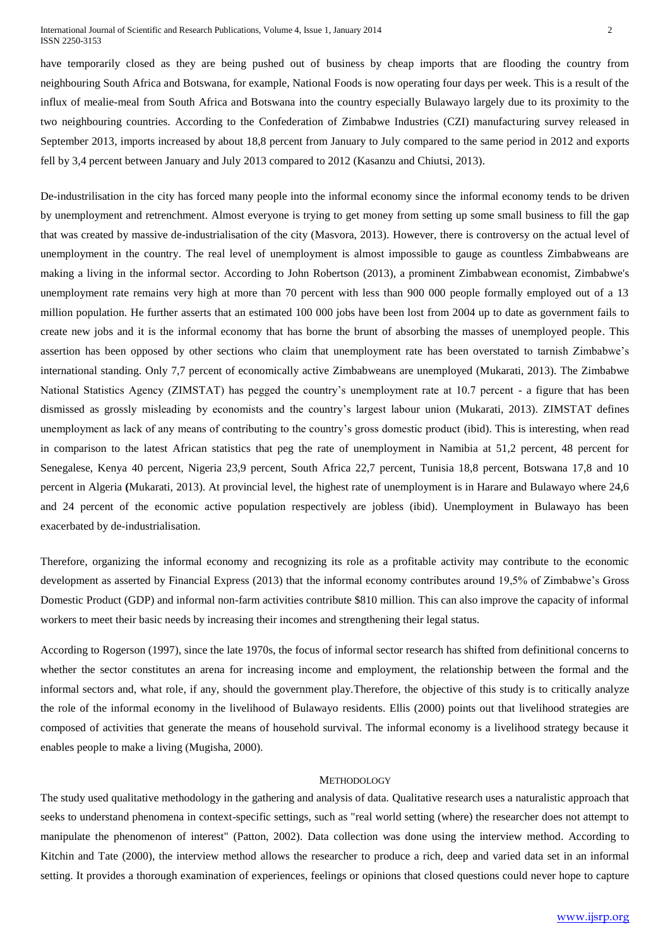have temporarily closed as they are being pushed out of business by cheap imports that are flooding the country from neighbouring South Africa and Botswana, for example, National Foods is now operating four days per week. This is a result of the influx of mealie-meal from South Africa and Botswana into the country especially Bulawayo largely due to its proximity to the two neighbouring countries. According to the Confederation of Zimbabwe Industries (CZI) manufacturing survey released in September 2013, imports increased by about 18,8 percent from January to July compared to the same period in 2012 and exports fell by 3,4 percent between January and July 2013 compared to 2012 (Kasanzu and Chiutsi, 2013).

De-industrilisation in the city has forced many people into the informal economy since the informal economy tends to be driven by unemployment and retrenchment. Almost everyone is trying to get money from setting up some small business to fill the gap that was created by massive de-industrialisation of the city (Masvora, 2013). However, there is controversy on the actual level of unemployment in the country. The real level of unemployment is almost impossible to gauge as countless Zimbabweans are making a living in the informal sector. According to John Robertson (2013), a prominent Zimbabwean economist, Zimbabwe's unemployment rate remains very high at more than 70 percent with less than 900 000 people formally employed out of a 13 million population. He further asserts that an estimated 100 000 jobs have been lost from 2004 up to date as government fails to create new jobs and it is the informal economy that has borne the brunt of absorbing the masses of unemployed people. This assertion has been opposed by other sections who claim that unemployment rate has been overstated to tarnish Zimbabwe's international standing. Only 7,7 percent of economically active Zimbabweans are unemployed (Mukarati, 2013). The Zimbabwe National Statistics Agency (ZIMSTAT) has pegged the country's unemployment rate at 10.7 percent - a figure that has been dismissed as grossly misleading by economists and the country's largest labour union (Mukarati, 2013). ZIMSTAT defines unemployment as lack of any means of contributing to the country's gross domestic product (ibid). This is interesting, when read in comparison to the latest African statistics that peg the rate of unemployment in Namibia at 51,2 percent, 48 percent for Senegalese, Kenya 40 percent, Nigeria 23,9 percent, South Africa 22,7 percent, Tunisia 18,8 percent, Botswana 17,8 and 10 percent in Algeria **(**Mukarati, 2013). At provincial level, the highest rate of unemployment is in Harare and Bulawayo where 24,6 and 24 percent of the economic active population respectively are jobless (ibid). Unemployment in Bulawayo has been exacerbated by de-industrialisation.

Therefore, organizing the informal economy and recognizing its role as a profitable activity may contribute to the economic development as asserted by Financial Express (2013) that the informal economy contributes around 19,5% of Zimbabwe's Gross Domestic Product (GDP) and informal non-farm activities contribute \$810 million. This can also improve the capacity of informal workers to meet their basic needs by increasing their incomes and strengthening their legal status.

According to Rogerson (1997), since the late 1970s, the focus of informal sector research has shifted from definitional concerns to whether the sector constitutes an arena for increasing income and employment, the relationship between the formal and the informal sectors and, what role, if any, should the government play.Therefore, the objective of this study is to critically analyze the role of the informal economy in the livelihood of Bulawayo residents. Ellis (2000) points out that livelihood strategies are composed of activities that generate the means of household survival. The informal economy is a livelihood strategy because it enables people to make a living (Mugisha, 2000).

## **METHODOLOGY**

The study used qualitative methodology in the gathering and analysis of data. Qualitative research uses a naturalistic approach that seeks to understand phenomena in context-specific settings, such as "real world setting (where) the researcher does not attempt to manipulate the phenomenon of interest" (Patton, 2002). Data collection was done using the interview method. According to Kitchin and Tate (2000), the interview method allows the researcher to produce a rich, deep and varied data set in an informal setting. It provides a thorough examination of experiences, feelings or opinions that closed questions could never hope to capture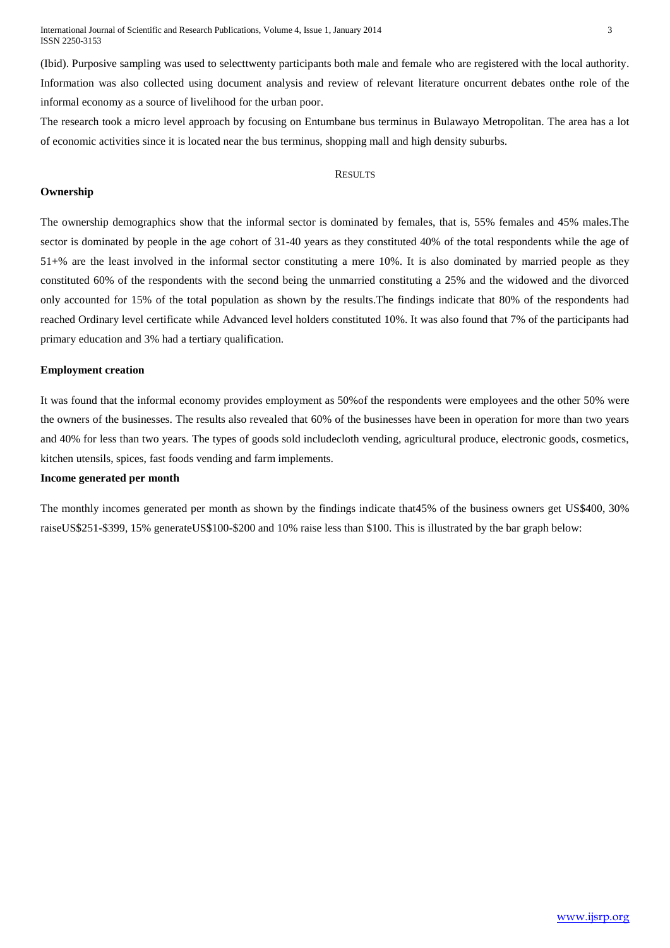International Journal of Scientific and Research Publications, Volume 4, Issue 1, January 2014 3 ISSN 2250-3153

(Ibid). Purposive sampling was used to selecttwenty participants both male and female who are registered with the local authority. Information was also collected using document analysis and review of relevant literature oncurrent debates onthe role of the informal economy as a source of livelihood for the urban poor.

The research took a micro level approach by focusing on Entumbane bus terminus in Bulawayo Metropolitan. The area has a lot of economic activities since it is located near the bus terminus, shopping mall and high density suburbs.

## **RESULTS**

## **Ownership**

The ownership demographics show that the informal sector is dominated by females, that is, 55% females and 45% males.The sector is dominated by people in the age cohort of 31-40 years as they constituted 40% of the total respondents while the age of 51+% are the least involved in the informal sector constituting a mere 10%. It is also dominated by married people as they constituted 60% of the respondents with the second being the unmarried constituting a 25% and the widowed and the divorced only accounted for 15% of the total population as shown by the results.The findings indicate that 80% of the respondents had reached Ordinary level certificate while Advanced level holders constituted 10%. It was also found that 7% of the participants had primary education and 3% had a tertiary qualification.

## **Employment creation**

It was found that the informal economy provides employment as 50%of the respondents were employees and the other 50% were the owners of the businesses. The results also revealed that 60% of the businesses have been in operation for more than two years and 40% for less than two years. The types of goods sold includecloth vending, agricultural produce, electronic goods, cosmetics, kitchen utensils, spices, fast foods vending and farm implements.

## **Income generated per month**

The monthly incomes generated per month as shown by the findings indicate that45% of the business owners get US\$400, 30% raiseUS\$251-\$399, 15% generateUS\$100-\$200 and 10% raise less than \$100. This is illustrated by the bar graph below: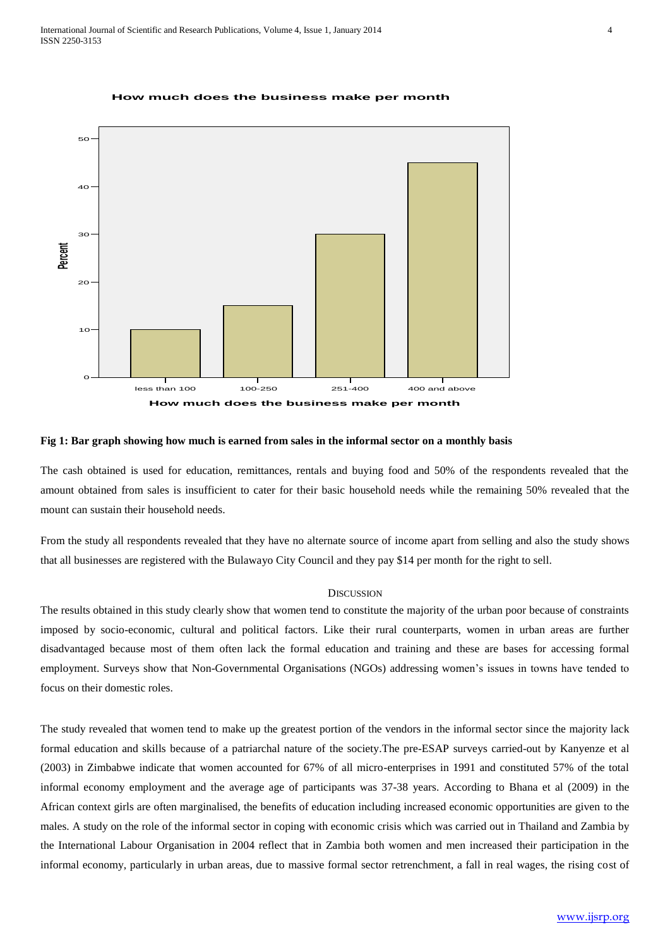

#### **How much does the business make per month**

# **Fig 1: Bar graph showing how much is earned from sales in the informal sector on a monthly basis**

The cash obtained is used for education, remittances, rentals and buying food and 50% of the respondents revealed that the amount obtained from sales is insufficient to cater for their basic household needs while the remaining 50% revealed that the mount can sustain their household needs.

From the study all respondents revealed that they have no alternate source of income apart from selling and also the study shows that all businesses are registered with the Bulawayo City Council and they pay \$14 per month for the right to sell.

## **DISCUSSION**

The results obtained in this study clearly show that women tend to constitute the majority of the urban poor because of constraints imposed by socio-economic, cultural and political factors. Like their rural counterparts, women in urban areas are further disadvantaged because most of them often lack the formal education and training and these are bases for accessing formal employment. Surveys show that Non-Governmental Organisations (NGOs) addressing women's issues in towns have tended to focus on their domestic roles.

The study revealed that women tend to make up the greatest portion of the vendors in the informal sector since the majority lack formal education and skills because of a patriarchal nature of the society.The pre-ESAP surveys carried-out by Kanyenze et al (2003) in Zimbabwe indicate that women accounted for 67% of all micro-enterprises in 1991 and constituted 57% of the total informal economy employment and the average age of participants was 37-38 years. According to Bhana et al (2009) in the African context girls are often marginalised, the benefits of education including increased economic opportunities are given to the males. A study on the role of the informal sector in coping with economic crisis which was carried out in Thailand and Zambia by the International Labour Organisation in 2004 reflect that in Zambia both women and men increased their participation in the informal economy, particularly in urban areas, due to massive formal sector retrenchment, a fall in real wages, the rising cost of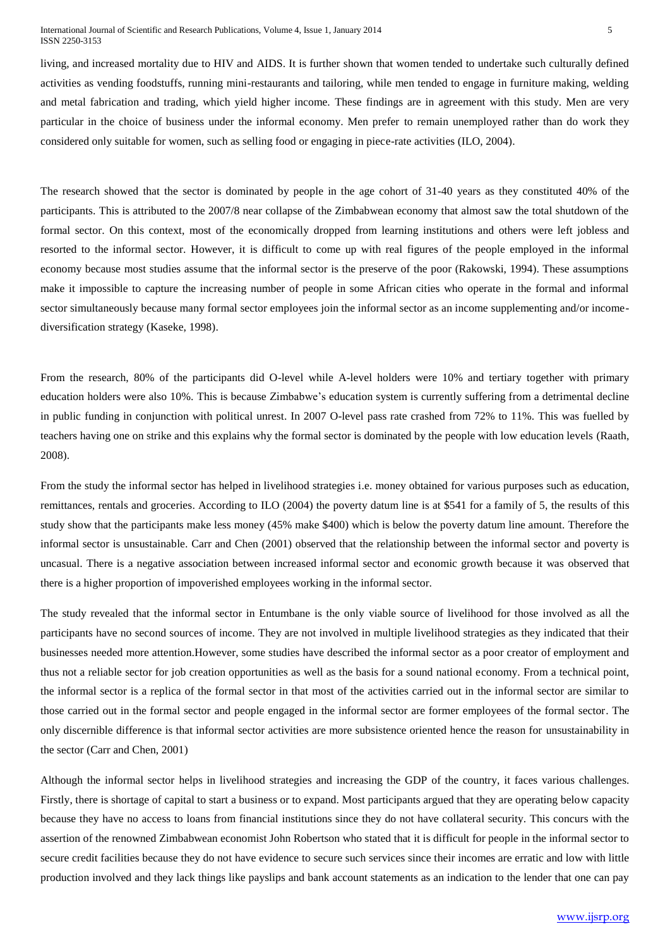living, and increased mortality due to HIV and AIDS. It is further shown that women tended to undertake such culturally defined activities as vending foodstuffs, running mini-restaurants and tailoring, while men tended to engage in furniture making, welding and metal fabrication and trading, which yield higher income. These findings are in agreement with this study. Men are very particular in the choice of business under the informal economy. Men prefer to remain unemployed rather than do work they considered only suitable for women, such as selling food or engaging in piece-rate activities (ILO, 2004).

The research showed that the sector is dominated by people in the age cohort of 31-40 years as they constituted 40% of the participants. This is attributed to the 2007/8 near collapse of the Zimbabwean economy that almost saw the total shutdown of the formal sector. On this context, most of the economically dropped from learning institutions and others were left jobless and resorted to the informal sector. However, it is difficult to come up with real figures of the people employed in the informal economy because most studies assume that the informal sector is the preserve of the poor (Rakowski, 1994). These assumptions make it impossible to capture the increasing number of people in some African cities who operate in the formal and informal sector simultaneously because many formal sector employees join the informal sector as an income supplementing and/or incomediversification strategy (Kaseke, 1998).

From the research, 80% of the participants did O-level while A-level holders were 10% and tertiary together with primary education holders were also 10%. This is because Zimbabwe's education system is currently suffering from a detrimental decline in public funding in conjunction with political unrest. In 2007 O-level pass rate crashed from 72% to 11%. This was fuelled by teachers having one on strike and this explains why the formal sector is dominated by the people with low education levels (Raath, 2008).

From the study the informal sector has helped in livelihood strategies i.e. money obtained for various purposes such as education, remittances, rentals and groceries. According to ILO (2004) the poverty datum line is at \$541 for a family of 5, the results of this study show that the participants make less money (45% make \$400) which is below the poverty datum line amount. Therefore the informal sector is unsustainable. Carr and Chen (2001) observed that the relationship between the informal sector and poverty is uncasual. There is a negative association between increased informal sector and economic growth because it was observed that there is a higher proportion of impoverished employees working in the informal sector.

The study revealed that the informal sector in Entumbane is the only viable source of livelihood for those involved as all the participants have no second sources of income. They are not involved in multiple livelihood strategies as they indicated that their businesses needed more attention.However, some studies have described the informal sector as a poor creator of employment and thus not a reliable sector for job creation opportunities as well as the basis for a sound national economy. From a technical point, the informal sector is a replica of the formal sector in that most of the activities carried out in the informal sector are similar to those carried out in the formal sector and people engaged in the informal sector are former employees of the formal sector. The only discernible difference is that informal sector activities are more subsistence oriented hence the reason for unsustainability in the sector (Carr and Chen, 2001)

Although the informal sector helps in livelihood strategies and increasing the GDP of the country, it faces various challenges. Firstly, there is shortage of capital to start a business or to expand. Most participants argued that they are operating below capacity because they have no access to loans from financial institutions since they do not have collateral security. This concurs with the assertion of the renowned Zimbabwean economist John Robertson who stated that it is difficult for people in the informal sector to secure credit facilities because they do not have evidence to secure such services since their incomes are erratic and low with little production involved and they lack things like payslips and bank account statements as an indication to the lender that one can pay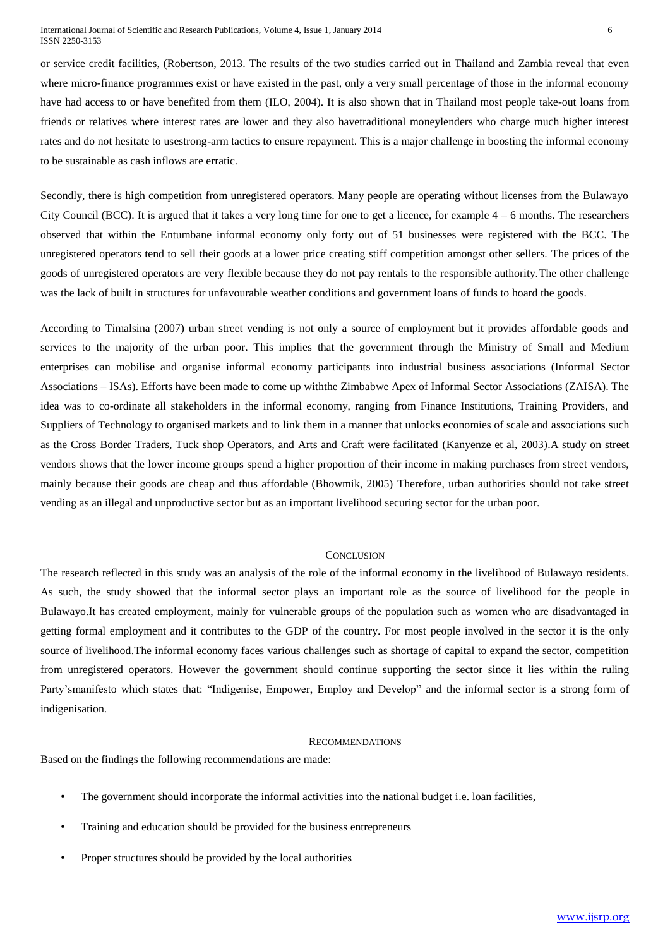or service credit facilities, (Robertson, 2013. The results of the two studies carried out in Thailand and Zambia reveal that even where micro-finance programmes exist or have existed in the past, only a very small percentage of those in the informal economy have had access to or have benefited from them (ILO, 2004). It is also shown that in Thailand most people take-out loans from friends or relatives where interest rates are lower and they also havetraditional moneylenders who charge much higher interest rates and do not hesitate to usestrong-arm tactics to ensure repayment. This is a major challenge in boosting the informal economy to be sustainable as cash inflows are erratic.

Secondly, there is high competition from unregistered operators. Many people are operating without licenses from the Bulawayo City Council (BCC). It is argued that it takes a very long time for one to get a licence, for example 4 – 6 months. The researchers observed that within the Entumbane informal economy only forty out of 51 businesses were registered with the BCC. The unregistered operators tend to sell their goods at a lower price creating stiff competition amongst other sellers. The prices of the goods of unregistered operators are very flexible because they do not pay rentals to the responsible authority.The other challenge was the lack of built in structures for unfavourable weather conditions and government loans of funds to hoard the goods.

According to Timalsina (2007) urban street vending is not only a source of employment but it provides affordable goods and services to the majority of the urban poor. This implies that the government through the Ministry of Small and Medium enterprises can mobilise and organise informal economy participants into industrial business associations (Informal Sector Associations – ISAs). Efforts have been made to come up withthe Zimbabwe Apex of Informal Sector Associations (ZAISA). The idea was to co-ordinate all stakeholders in the informal economy, ranging from Finance Institutions, Training Providers, and Suppliers of Technology to organised markets and to link them in a manner that unlocks economies of scale and associations such as the Cross Border Traders, Tuck shop Operators, and Arts and Craft were facilitated (Kanyenze et al, 2003).A study on street vendors shows that the lower income groups spend a higher proportion of their income in making purchases from street vendors, mainly because their goods are cheap and thus affordable (Bhowmik, 2005) Therefore, urban authorities should not take street vending as an illegal and unproductive sector but as an important livelihood securing sector for the urban poor.

## CONCLUSION

The research reflected in this study was an analysis of the role of the informal economy in the livelihood of Bulawayo residents. As such, the study showed that the informal sector plays an important role as the source of livelihood for the people in Bulawayo.It has created employment, mainly for vulnerable groups of the population such as women who are disadvantaged in getting formal employment and it contributes to the GDP of the country. For most people involved in the sector it is the only source of livelihood.The informal economy faces various challenges such as shortage of capital to expand the sector, competition from unregistered operators. However the government should continue supporting the sector since it lies within the ruling Party'smanifesto which states that: "Indigenise, Empower, Employ and Develop" and the informal sector is a strong form of indigenisation.

## RECOMMENDATIONS

Based on the findings the following recommendations are made:

- The government should incorporate the informal activities into the national budget i.e. loan facilities,
- Training and education should be provided for the business entrepreneurs
- Proper structures should be provided by the local authorities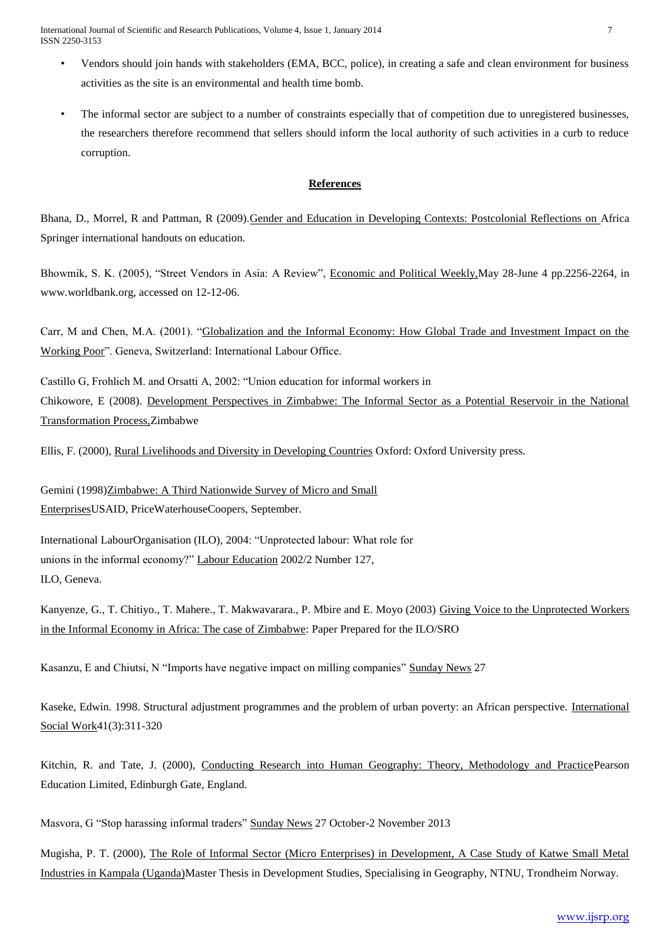International Journal of Scientific and Research Publications, Volume 4, Issue 1, January 2014 7 ISSN 2250-3153

- Vendors should join hands with stakeholders (EMA, BCC, police), in creating a safe and clean environment for business activities as the site is an environmental and health time bomb.
- The informal sector are subject to a number of constraints especially that of competition due to unregistered businesses, the researchers therefore recommend that sellers should inform the local authority of such activities in a curb to reduce corruption.

# **References**

Bhana, D., Morrel, R and Pattman, R (2009).Gender and Education in Developing Contexts: Postcolonial Reflections on Africa Springer international handouts on education.

Bhowmik, S. K. (2005), "Street Vendors in Asia: A Review", Economic and Political Weekly,May 28-June 4 pp.2256-2264, in www.worldbank.org, accessed on 12-12-06.

Carr, M and Chen, M.A. (2001). "Globalization and the Informal Economy: How Global Trade and Investment Impact on the Working Poor". Geneva, Switzerland: International Labour Office.

Castillo G, Frohlich M. and Orsatti A, 2002: "Union education for informal workers in Chikowore, E (2008). Development Perspectives in Zimbabwe: The Informal Sector as a Potential Reservoir in the National Transformation Process,Zimbabwe

Ellis, F. (2000), Rural Livelihoods and Diversity in Developing Countries Oxford: Oxford University press.

Gemini (1998)Zimbabwe: A Third Nationwide Survey of Micro and Small EnterprisesUSAID, PriceWaterhouseCoopers, September.

International LabourOrganisation (ILO), 2004: "Unprotected labour: What role for unions in the informal economy?" Labour Education 2002/2 Number 127, ILO, Geneva.

Kanyenze, G., T. Chitiyo., T. Mahere., T. Makwavarara., P. Mbire and E. Moyo (2003) Giving Voice to the Unprotected Workers in the Informal Economy in Africa: The case of Zimbabwe: Paper Prepared for the ILO/SRO

Kasanzu, E and Chiutsi, N "Imports have negative impact on milling companies" Sunday News 27

Kaseke, Edwin. 1998. Structural adjustment programmes and the problem of urban poverty: an African perspective. International Social Work41(3):311-320

Kitchin, R. and Tate, J. (2000), Conducting Research into Human Geography: Theory, Methodology and PracticePearson Education Limited, Edinburgh Gate, England.

Masvora, G "Stop harassing informal traders" Sunday News 27 October-2 November 2013

Mugisha, P. T. (2000), The Role of Informal Sector (Micro Enterprises) in Development, A Case Study of Katwe Small Metal Industries in Kampala (Uganda)Master Thesis in Development Studies, Specialising in Geography, NTNU, Trondheim Norway.